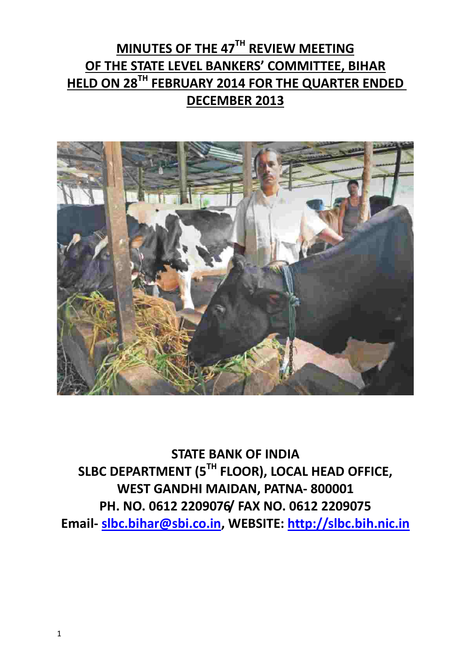# **MINUTES OF THE 47TH REVIEW MEETING OF THE STATE LEVEL BANKERS' COMMITTEE, BIHAR HELD ON 28TH FEBRUARY 2014 FOR THE QUARTER ENDED DECEMBER 2013**



**STATE BANK OF INDIA SLBC DEPARTMENT (5TH FLOOR), LOCAL HEAD OFFICE, WEST GANDHI MAIDAN, PATNA- 800001 PH. NO. 0612 2209076/ FAX NO. 0612 2209075 Email- [slbc.bihar@sbi.co.in,](mailto:slbc.bihar@sbi.co.in) WEBSITE: [http://slbc.bih.nic.in](http://slbc.bih.nic.in/)**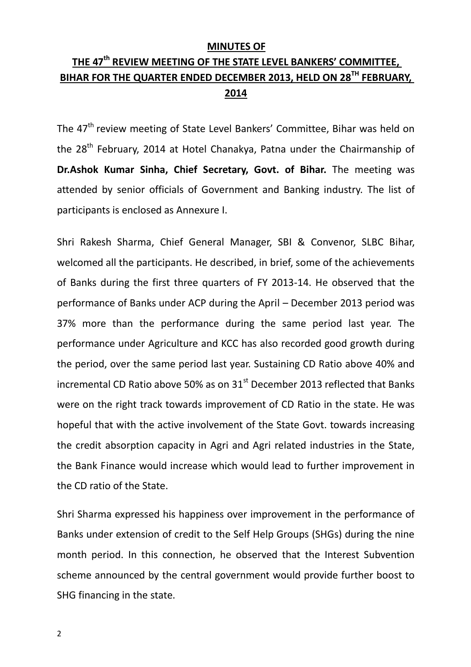#### **MINUTES OF**

## **THE 47th REVIEW MEETING OF THE STATE LEVEL BANKERS' COMMITTEE, BIHAR FOR THE QUARTER ENDED DECEMBER 2013, HELD ON 28TH FEBRUARY, 2014**

The 47<sup>th</sup> review meeting of State Level Bankers' Committee, Bihar was held on the 28<sup>th</sup> February, 2014 at Hotel Chanakya, Patna under the Chairmanship of **Dr.Ashok Kumar Sinha, Chief Secretary, Govt. of Bihar.** The meeting was attended by senior officials of Government and Banking industry. The list of participants is enclosed as Annexure I.

Shri Rakesh Sharma, Chief General Manager, SBI & Convenor, SLBC Bihar, welcomed all the participants. He described, in brief, some of the achievements of Banks during the first three quarters of FY 2013-14. He observed that the performance of Banks under ACP during the April – December 2013 period was 37% more than the performance during the same period last year. The performance under Agriculture and KCC has also recorded good growth during the period, over the same period last year. Sustaining CD Ratio above 40% and incremental CD Ratio above 50% as on  $31<sup>st</sup>$  December 2013 reflected that Banks were on the right track towards improvement of CD Ratio in the state. He was hopeful that with the active involvement of the State Govt. towards increasing the credit absorption capacity in Agri and Agri related industries in the State, the Bank Finance would increase which would lead to further improvement in the CD ratio of the State.

Shri Sharma expressed his happiness over improvement in the performance of Banks under extension of credit to the Self Help Groups (SHGs) during the nine month period. In this connection, he observed that the Interest Subvention scheme announced by the central government would provide further boost to SHG financing in the state.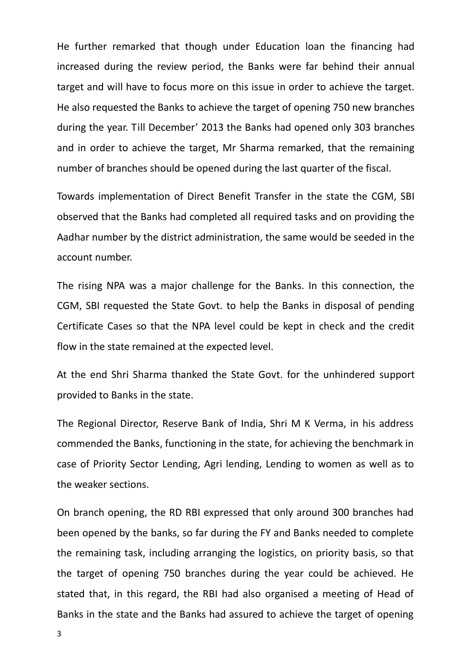He further remarked that though under Education loan the financing had increased during the review period, the Banks were far behind their annual target and will have to focus more on this issue in order to achieve the target. He also requested the Banks to achieve the target of opening 750 new branches during the year. Till December' 2013 the Banks had opened only 303 branches and in order to achieve the target, Mr Sharma remarked, that the remaining number of branches should be opened during the last quarter of the fiscal.

Towards implementation of Direct Benefit Transfer in the state the CGM, SBI observed that the Banks had completed all required tasks and on providing the Aadhar number by the district administration, the same would be seeded in the account number.

The rising NPA was a major challenge for the Banks. In this connection, the CGM, SBI requested the State Govt. to help the Banks in disposal of pending Certificate Cases so that the NPA level could be kept in check and the credit flow in the state remained at the expected level.

At the end Shri Sharma thanked the State Govt. for the unhindered support provided to Banks in the state.

The Regional Director, Reserve Bank of India, Shri M K Verma, in his address commended the Banks, functioning in the state, for achieving the benchmark in case of Priority Sector Lending, Agri lending, Lending to women as well as to the weaker sections.

On branch opening, the RD RBI expressed that only around 300 branches had been opened by the banks, so far during the FY and Banks needed to complete the remaining task, including arranging the logistics, on priority basis, so that the target of opening 750 branches during the year could be achieved. He stated that, in this regard, the RBI had also organised a meeting of Head of Banks in the state and the Banks had assured to achieve the target of opening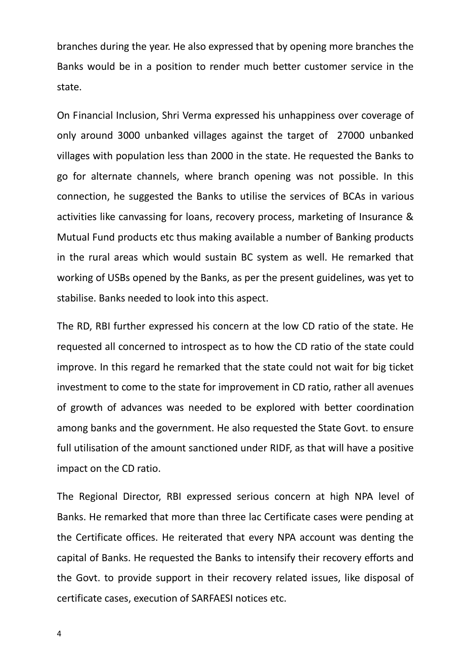branches during the year. He also expressed that by opening more branches the Banks would be in a position to render much better customer service in the state.

On Financial Inclusion, Shri Verma expressed his unhappiness over coverage of only around 3000 unbanked villages against the target of 27000 unbanked villages with population less than 2000 in the state. He requested the Banks to go for alternate channels, where branch opening was not possible. In this connection, he suggested the Banks to utilise the services of BCAs in various activities like canvassing for loans, recovery process, marketing of Insurance & Mutual Fund products etc thus making available a number of Banking products in the rural areas which would sustain BC system as well. He remarked that working of USBs opened by the Banks, as per the present guidelines, was yet to stabilise. Banks needed to look into this aspect.

The RD, RBI further expressed his concern at the low CD ratio of the state. He requested all concerned to introspect as to how the CD ratio of the state could improve. In this regard he remarked that the state could not wait for big ticket investment to come to the state for improvement in CD ratio, rather all avenues of growth of advances was needed to be explored with better coordination among banks and the government. He also requested the State Govt. to ensure full utilisation of the amount sanctioned under RIDF, as that will have a positive impact on the CD ratio.

The Regional Director, RBI expressed serious concern at high NPA level of Banks. He remarked that more than three lac Certificate cases were pending at the Certificate offices. He reiterated that every NPA account was denting the capital of Banks. He requested the Banks to intensify their recovery efforts and the Govt. to provide support in their recovery related issues, like disposal of certificate cases, execution of SARFAESI notices etc.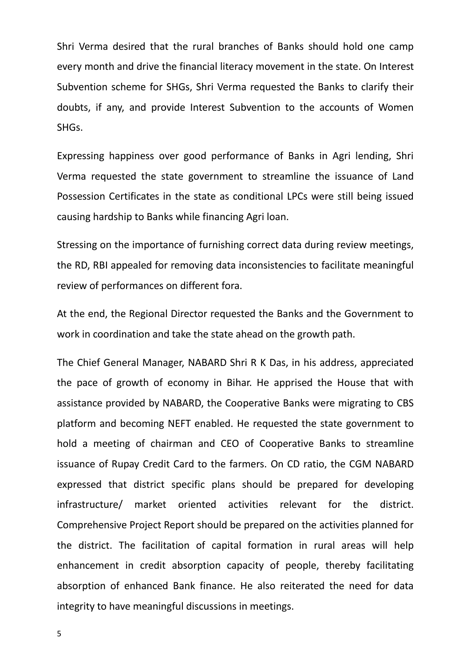Shri Verma desired that the rural branches of Banks should hold one camp every month and drive the financial literacy movement in the state. On Interest Subvention scheme for SHGs, Shri Verma requested the Banks to clarify their doubts, if any, and provide Interest Subvention to the accounts of Women SHGs.

Expressing happiness over good performance of Banks in Agri lending, Shri Verma requested the state government to streamline the issuance of Land Possession Certificates in the state as conditional LPCs were still being issued causing hardship to Banks while financing Agri loan.

Stressing on the importance of furnishing correct data during review meetings, the RD, RBI appealed for removing data inconsistencies to facilitate meaningful review of performances on different fora.

At the end, the Regional Director requested the Banks and the Government to work in coordination and take the state ahead on the growth path.

The Chief General Manager, NABARD Shri R K Das, in his address, appreciated the pace of growth of economy in Bihar. He apprised the House that with assistance provided by NABARD, the Cooperative Banks were migrating to CBS platform and becoming NEFT enabled. He requested the state government to hold a meeting of chairman and CEO of Cooperative Banks to streamline issuance of Rupay Credit Card to the farmers. On CD ratio, the CGM NABARD expressed that district specific plans should be prepared for developing infrastructure/ market oriented activities relevant for the district. Comprehensive Project Report should be prepared on the activities planned for the district. The facilitation of capital formation in rural areas will help enhancement in credit absorption capacity of people, thereby facilitating absorption of enhanced Bank finance. He also reiterated the need for data integrity to have meaningful discussions in meetings.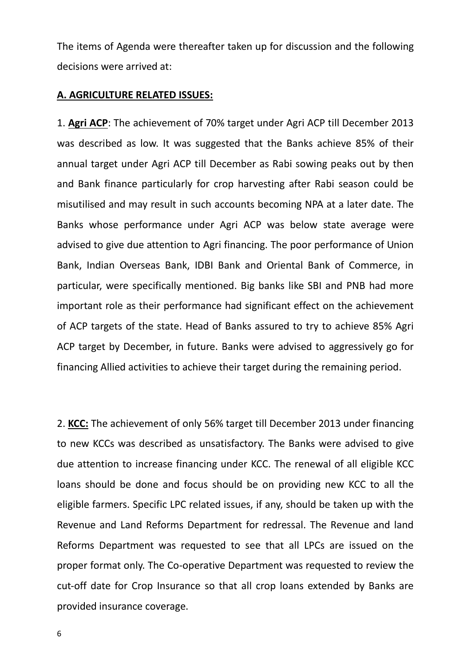The items of Agenda were thereafter taken up for discussion and the following decisions were arrived at:

#### **A. AGRICULTURE RELATED ISSUES:**

1. **Agri ACP**: The achievement of 70% target under Agri ACP till December 2013 was described as low. It was suggested that the Banks achieve 85% of their annual target under Agri ACP till December as Rabi sowing peaks out by then and Bank finance particularly for crop harvesting after Rabi season could be misutilised and may result in such accounts becoming NPA at a later date. The Banks whose performance under Agri ACP was below state average were advised to give due attention to Agri financing. The poor performance of Union Bank, Indian Overseas Bank, IDBI Bank and Oriental Bank of Commerce, in particular, were specifically mentioned. Big banks like SBI and PNB had more important role as their performance had significant effect on the achievement of ACP targets of the state. Head of Banks assured to try to achieve 85% Agri ACP target by December, in future. Banks were advised to aggressively go for financing Allied activities to achieve their target during the remaining period.

2. **KCC:** The achievement of only 56% target till December 2013 under financing to new KCCs was described as unsatisfactory. The Banks were advised to give due attention to increase financing under KCC. The renewal of all eligible KCC loans should be done and focus should be on providing new KCC to all the eligible farmers. Specific LPC related issues, if any, should be taken up with the Revenue and Land Reforms Department for redressal. The Revenue and land Reforms Department was requested to see that all LPCs are issued on the proper format only. The Co-operative Department was requested to review the cut-off date for Crop Insurance so that all crop loans extended by Banks are provided insurance coverage.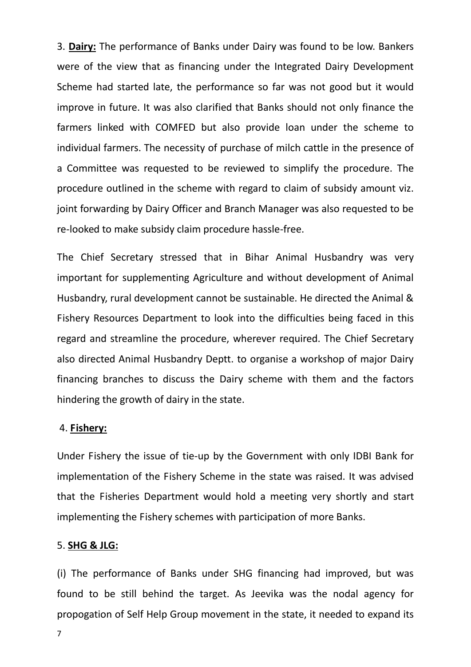3. **Dairy:** The performance of Banks under Dairy was found to be low. Bankers were of the view that as financing under the Integrated Dairy Development Scheme had started late, the performance so far was not good but it would improve in future. It was also clarified that Banks should not only finance the farmers linked with COMFED but also provide loan under the scheme to individual farmers. The necessity of purchase of milch cattle in the presence of a Committee was requested to be reviewed to simplify the procedure. The procedure outlined in the scheme with regard to claim of subsidy amount viz. joint forwarding by Dairy Officer and Branch Manager was also requested to be re-looked to make subsidy claim procedure hassle-free.

The Chief Secretary stressed that in Bihar Animal Husbandry was very important for supplementing Agriculture and without development of Animal Husbandry, rural development cannot be sustainable. He directed the Animal & Fishery Resources Department to look into the difficulties being faced in this regard and streamline the procedure, wherever required. The Chief Secretary also directed Animal Husbandry Deptt. to organise a workshop of major Dairy financing branches to discuss the Dairy scheme with them and the factors hindering the growth of dairy in the state.

#### 4. **Fishery:**

Under Fishery the issue of tie-up by the Government with only IDBI Bank for implementation of the Fishery Scheme in the state was raised. It was advised that the Fisheries Department would hold a meeting very shortly and start implementing the Fishery schemes with participation of more Banks.

#### 5. **SHG & JLG:**

(i) The performance of Banks under SHG financing had improved, but was found to be still behind the target. As Jeevika was the nodal agency for propogation of Self Help Group movement in the state, it needed to expand its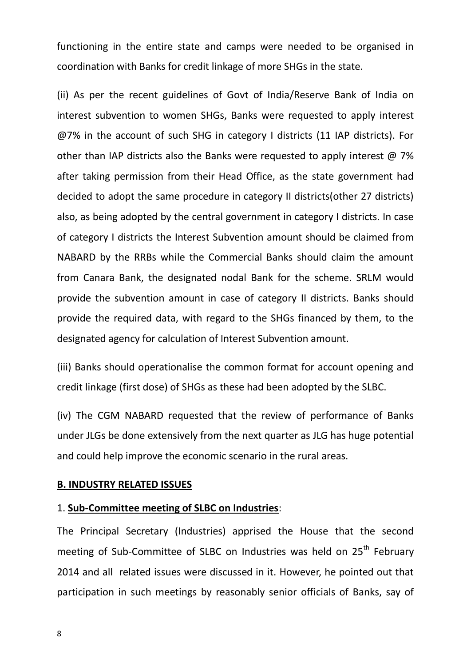functioning in the entire state and camps were needed to be organised in coordination with Banks for credit linkage of more SHGs in the state.

(ii) As per the recent guidelines of Govt of India/Reserve Bank of India on interest subvention to women SHGs, Banks were requested to apply interest @7% in the account of such SHG in category I districts (11 IAP districts). For other than IAP districts also the Banks were requested to apply interest  $\omega$  7% after taking permission from their Head Office, as the state government had decided to adopt the same procedure in category II districts(other 27 districts) also, as being adopted by the central government in category I districts. In case of category I districts the Interest Subvention amount should be claimed from NABARD by the RRBs while the Commercial Banks should claim the amount from Canara Bank, the designated nodal Bank for the scheme. SRLM would provide the subvention amount in case of category II districts. Banks should provide the required data, with regard to the SHGs financed by them, to the designated agency for calculation of Interest Subvention amount.

(iii) Banks should operationalise the common format for account opening and credit linkage (first dose) of SHGs as these had been adopted by the SLBC.

(iv) The CGM NABARD requested that the review of performance of Banks under JLGs be done extensively from the next quarter as JLG has huge potential and could help improve the economic scenario in the rural areas.

#### **B. INDUSTRY RELATED ISSUES**

#### 1. **Sub-Committee meeting of SLBC on Industries**:

The Principal Secretary (Industries) apprised the House that the second meeting of Sub-Committee of SLBC on Industries was held on 25<sup>th</sup> February 2014 and all related issues were discussed in it. However, he pointed out that participation in such meetings by reasonably senior officials of Banks, say of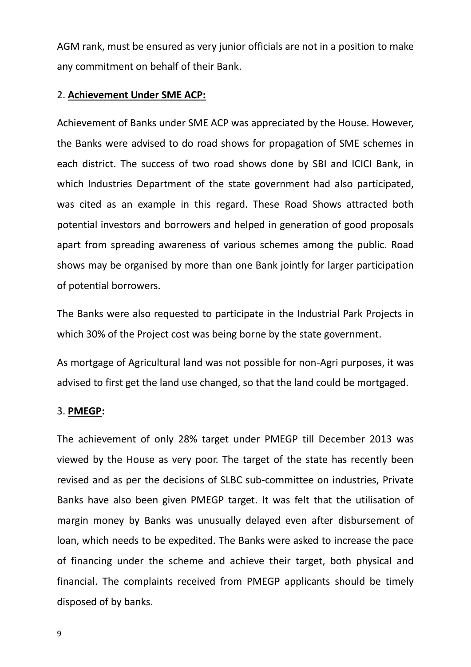AGM rank, must be ensured as very junior officials are not in a position to make any commitment on behalf of their Bank.

#### 2. **Achievement Under SME ACP:**

Achievement of Banks under SME ACP was appreciated by the House. However, the Banks were advised to do road shows for propagation of SME schemes in each district. The success of two road shows done by SBI and ICICI Bank, in which Industries Department of the state government had also participated, was cited as an example in this regard. These Road Shows attracted both potential investors and borrowers and helped in generation of good proposals apart from spreading awareness of various schemes among the public. Road shows may be organised by more than one Bank jointly for larger participation of potential borrowers.

The Banks were also requested to participate in the Industrial Park Projects in which 30% of the Project cost was being borne by the state government.

As mortgage of Agricultural land was not possible for non-Agri purposes, it was advised to first get the land use changed, so that the land could be mortgaged.

#### 3. **PMEGP:**

The achievement of only 28% target under PMEGP till December 2013 was viewed by the House as very poor. The target of the state has recently been revised and as per the decisions of SLBC sub-committee on industries, Private Banks have also been given PMEGP target. It was felt that the utilisation of margin money by Banks was unusually delayed even after disbursement of loan, which needs to be expedited. The Banks were asked to increase the pace of financing under the scheme and achieve their target, both physical and financial. The complaints received from PMEGP applicants should be timely disposed of by banks.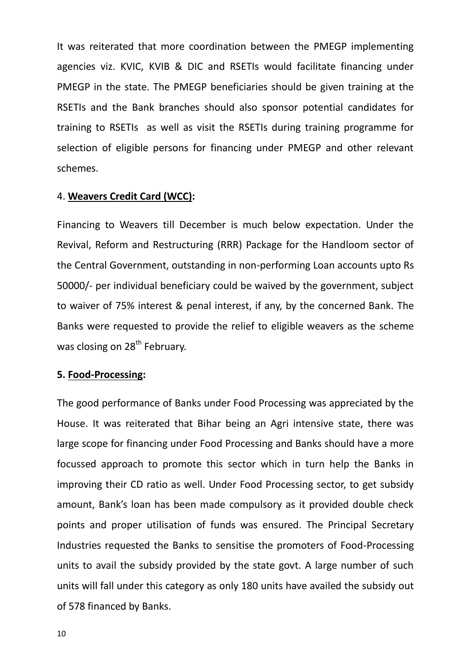It was reiterated that more coordination between the PMEGP implementing agencies viz. KVIC, KVIB & DIC and RSETIs would facilitate financing under PMEGP in the state. The PMEGP beneficiaries should be given training at the RSETIs and the Bank branches should also sponsor potential candidates for training to RSETIs as well as visit the RSETIs during training programme for selection of eligible persons for financing under PMEGP and other relevant schemes.

#### 4. **Weavers Credit Card (WCC):**

Financing to Weavers till December is much below expectation. Under the Revival, Reform and Restructuring (RRR) Package for the Handloom sector of the Central Government, outstanding in non-performing Loan accounts upto Rs 50000/- per individual beneficiary could be waived by the government, subject to waiver of 75% interest & penal interest, if any, by the concerned Bank. The Banks were requested to provide the relief to eligible weavers as the scheme was closing on 28<sup>th</sup> February.

#### **5. Food-Processing:**

The good performance of Banks under Food Processing was appreciated by the House. It was reiterated that Bihar being an Agri intensive state, there was large scope for financing under Food Processing and Banks should have a more focussed approach to promote this sector which in turn help the Banks in improving their CD ratio as well. Under Food Processing sector, to get subsidy amount, Bank's loan has been made compulsory as it provided double check points and proper utilisation of funds was ensured. The Principal Secretary Industries requested the Banks to sensitise the promoters of Food-Processing units to avail the subsidy provided by the state govt. A large number of such units will fall under this category as only 180 units have availed the subsidy out of 578 financed by Banks.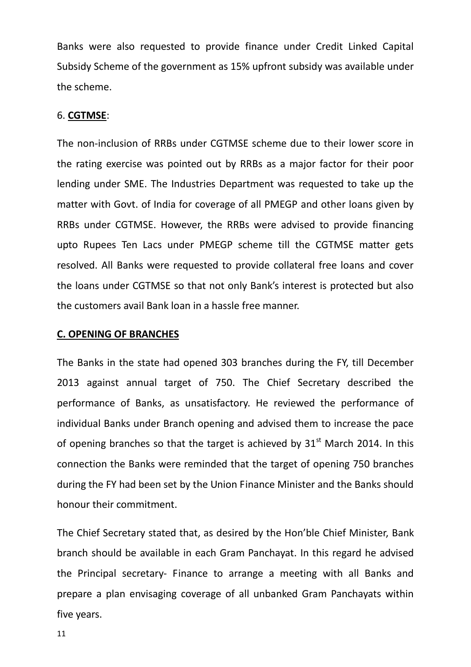Banks were also requested to provide finance under Credit Linked Capital Subsidy Scheme of the government as 15% upfront subsidy was available under the scheme.

#### 6. **CGTMSE**:

The non-inclusion of RRBs under CGTMSE scheme due to their lower score in the rating exercise was pointed out by RRBs as a major factor for their poor lending under SME. The Industries Department was requested to take up the matter with Govt. of India for coverage of all PMEGP and other loans given by RRBs under CGTMSE. However, the RRBs were advised to provide financing upto Rupees Ten Lacs under PMEGP scheme till the CGTMSE matter gets resolved. All Banks were requested to provide collateral free loans and cover the loans under CGTMSE so that not only Bank's interest is protected but also the customers avail Bank loan in a hassle free manner.

#### **C. OPENING OF BRANCHES**

The Banks in the state had opened 303 branches during the FY, till December 2013 against annual target of 750. The Chief Secretary described the performance of Banks, as unsatisfactory. He reviewed the performance of individual Banks under Branch opening and advised them to increase the pace of opening branches so that the target is achieved by  $31<sup>st</sup>$  March 2014. In this connection the Banks were reminded that the target of opening 750 branches during the FY had been set by the Union Finance Minister and the Banks should honour their commitment.

The Chief Secretary stated that, as desired by the Hon'ble Chief Minister, Bank branch should be available in each Gram Panchayat. In this regard he advised the Principal secretary- Finance to arrange a meeting with all Banks and prepare a plan envisaging coverage of all unbanked Gram Panchayats within five years.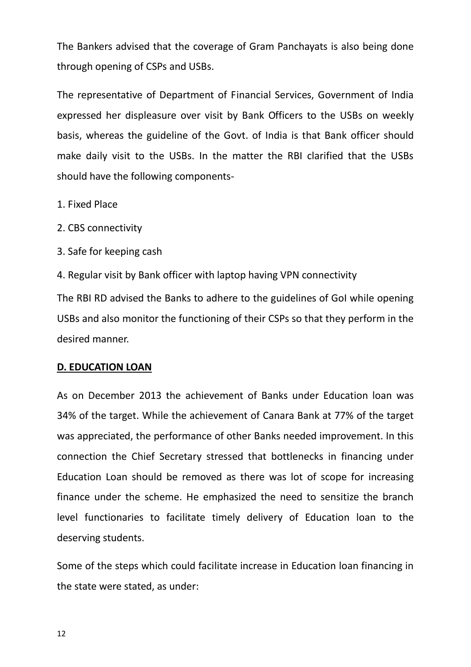The Bankers advised that the coverage of Gram Panchayats is also being done through opening of CSPs and USBs.

The representative of Department of Financial Services, Government of India expressed her displeasure over visit by Bank Officers to the USBs on weekly basis, whereas the guideline of the Govt. of India is that Bank officer should make daily visit to the USBs. In the matter the RBI clarified that the USBs should have the following components-

1. Fixed Place

- 2. CBS connectivity
- 3. Safe for keeping cash

4. Regular visit by Bank officer with laptop having VPN connectivity

The RBI RD advised the Banks to adhere to the guidelines of GoI while opening USBs and also monitor the functioning of their CSPs so that they perform in the desired manner.

#### **D. EDUCATION LOAN**

As on December 2013 the achievement of Banks under Education loan was 34% of the target. While the achievement of Canara Bank at 77% of the target was appreciated, the performance of other Banks needed improvement. In this connection the Chief Secretary stressed that bottlenecks in financing under Education Loan should be removed as there was lot of scope for increasing finance under the scheme. He emphasized the need to sensitize the branch level functionaries to facilitate timely delivery of Education loan to the deserving students.

Some of the steps which could facilitate increase in Education loan financing in the state were stated, as under: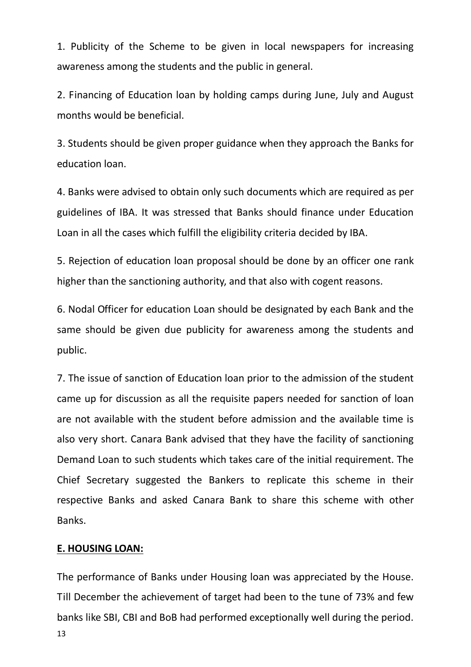1. Publicity of the Scheme to be given in local newspapers for increasing awareness among the students and the public in general.

2. Financing of Education loan by holding camps during June, July and August months would be beneficial.

3. Students should be given proper guidance when they approach the Banks for education loan.

4. Banks were advised to obtain only such documents which are required as per guidelines of IBA. It was stressed that Banks should finance under Education Loan in all the cases which fulfill the eligibility criteria decided by IBA.

5. Rejection of education loan proposal should be done by an officer one rank higher than the sanctioning authority, and that also with cogent reasons.

6. Nodal Officer for education Loan should be designated by each Bank and the same should be given due publicity for awareness among the students and public.

7. The issue of sanction of Education loan prior to the admission of the student came up for discussion as all the requisite papers needed for sanction of loan are not available with the student before admission and the available time is also very short. Canara Bank advised that they have the facility of sanctioning Demand Loan to such students which takes care of the initial requirement. The Chief Secretary suggested the Bankers to replicate this scheme in their respective Banks and asked Canara Bank to share this scheme with other Banks.

#### **E. HOUSING LOAN:**

13 The performance of Banks under Housing loan was appreciated by the House. Till December the achievement of target had been to the tune of 73% and few banks like SBI, CBI and BoB had performed exceptionally well during the period.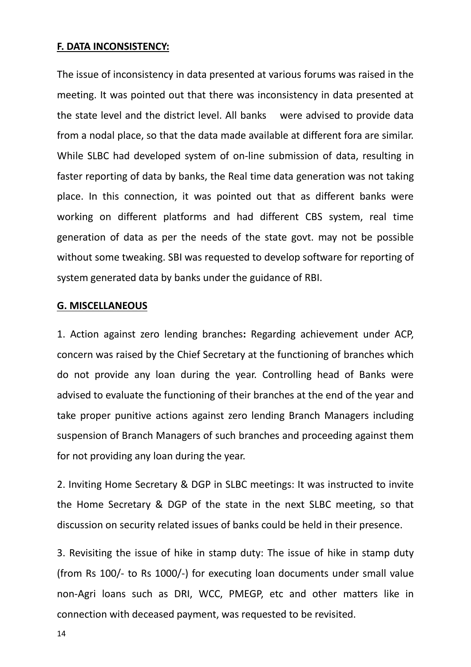#### **F. DATA INCONSISTENCY:**

The issue of inconsistency in data presented at various forums was raised in the meeting. It was pointed out that there was inconsistency in data presented at the state level and the district level. All banks were advised to provide data from a nodal place, so that the data made available at different fora are similar. While SLBC had developed system of on-line submission of data, resulting in faster reporting of data by banks, the Real time data generation was not taking place. In this connection, it was pointed out that as different banks were working on different platforms and had different CBS system, real time generation of data as per the needs of the state govt. may not be possible without some tweaking. SBI was requested to develop software for reporting of system generated data by banks under the guidance of RBI.

#### **G. MISCELLANEOUS**

1. Action against zero lending branches**:** Regarding achievement under ACP, concern was raised by the Chief Secretary at the functioning of branches which do not provide any loan during the year. Controlling head of Banks were advised to evaluate the functioning of their branches at the end of the year and take proper punitive actions against zero lending Branch Managers including suspension of Branch Managers of such branches and proceeding against them for not providing any loan during the year.

2. Inviting Home Secretary & DGP in SLBC meetings: It was instructed to invite the Home Secretary & DGP of the state in the next SLBC meeting, so that discussion on security related issues of banks could be held in their presence.

3. Revisiting the issue of hike in stamp duty: The issue of hike in stamp duty (from Rs 100/- to Rs 1000/-) for executing loan documents under small value non-Agri loans such as DRI, WCC, PMEGP, etc and other matters like in connection with deceased payment, was requested to be revisited.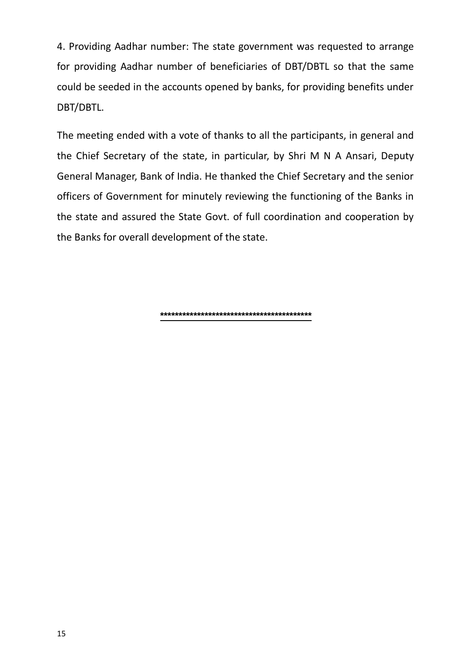4. Providing Aadhar number: The state government was requested to arrange for providing Aadhar number of beneficiaries of DBT/DBTL so that the same could be seeded in the accounts opened by banks, for providing benefits under DBT/DBTL.

The meeting ended with a vote of thanks to all the participants, in general and the Chief Secretary of the state, in particular, by Shri M N A Ansari, Deputy General Manager, Bank of India. He thanked the Chief Secretary and the senior officers of Government for minutely reviewing the functioning of the Banks in the state and assured the State Govt. of full coordination and cooperation by the Banks for overall development of the state.

**\*\*\*\*\*\*\*\*\*\*\*\*\*\*\*\*\*\*\*\*\*\*\*\*\*\*\*\*\*\*\*\*\*\*\*\*\*\*\*\*\***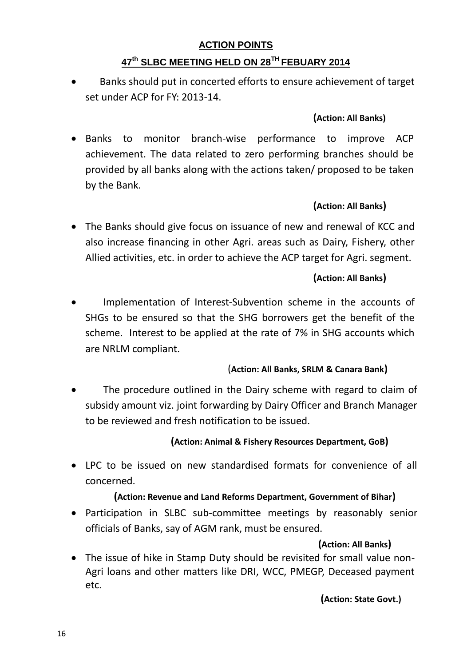## **ACTION POINTS**

## **47th SLBC MEETING HELD ON 28TH FEBUARY 2014**

 Banks should put in concerted efforts to ensure achievement of target set under ACP for FY: 2013-14.

## **(Action: All Banks)**

 Banks to monitor branch-wise performance to improve ACP achievement. The data related to zero performing branches should be provided by all banks along with the actions taken/ proposed to be taken by the Bank.

## **(Action: All Banks)**

 The Banks should give focus on issuance of new and renewal of KCC and also increase financing in other Agri. areas such as Dairy, Fishery, other Allied activities, etc. in order to achieve the ACP target for Agri. segment.

## **(Action: All Banks)**

 Implementation of Interest-Subvention scheme in the accounts of SHGs to be ensured so that the SHG borrowers get the benefit of the scheme. Interest to be applied at the rate of 7% in SHG accounts which are NRLM compliant.

## (**Action: All Banks, SRLM & Canara Bank)**

 The procedure outlined in the Dairy scheme with regard to claim of subsidy amount viz. joint forwarding by Dairy Officer and Branch Manager to be reviewed and fresh notification to be issued.

## **(Action: Animal & Fishery Resources Department, GoB)**

 LPC to be issued on new standardised formats for convenience of all concerned.

## **(Action: Revenue and Land Reforms Department, Government of Bihar)**

 Participation in SLBC sub-committee meetings by reasonably senior officials of Banks, say of AGM rank, must be ensured.

## **(Action: All Banks)**

 The issue of hike in Stamp Duty should be revisited for small value non-Agri loans and other matters like DRI, WCC, PMEGP, Deceased payment etc.

## **(Action: State Govt.)**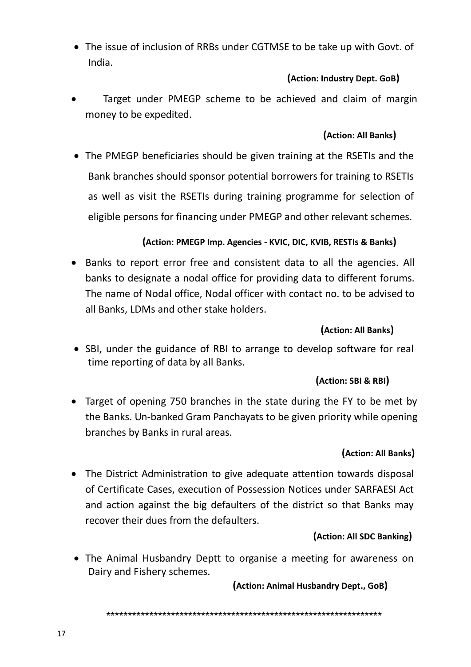The issue of inclusion of RRBs under CGTMSE to be take up with Govt. of India.

## **(Action: Industry Dept. GoB)**

 Target under PMEGP scheme to be achieved and claim of margin money to be expedited.

## **(Action: All Banks)**

 The PMEGP beneficiaries should be given training at the RSETIs and the Bank branches should sponsor potential borrowers for training to RSETIs as well as visit the RSETIs during training programme for selection of eligible persons for financing under PMEGP and other relevant schemes.

## **(Action: PMEGP Imp. Agencies - KVIC, DIC, KVIB, RESTIs & Banks)**

• Banks to report error free and consistent data to all the agencies. All banks to designate a nodal office for providing data to different forums. The name of Nodal office, Nodal officer with contact no. to be advised to all Banks, LDMs and other stake holders.

## **(Action: All Banks)**

• SBI, under the guidance of RBI to arrange to develop software for real time reporting of data by all Banks.

## **(Action: SBI & RBI)**

• Target of opening 750 branches in the state during the FY to be met by the Banks. Un-banked Gram Panchayats to be given priority while opening branches by Banks in rural areas.

## **(Action: All Banks)**

 The District Administration to give adequate attention towards disposal of Certificate Cases, execution of Possession Notices under SARFAESI Act and action against the big defaulters of the district so that Banks may recover their dues from the defaulters.

## **(Action: All SDC Banking)**

 The Animal Husbandry Deptt to organise a meeting for awareness on Dairy and Fishery schemes.

 **(Action: Animal Husbandry Dept., GoB)**

\*\*\*\*\*\*\*\*\*\*\*\*\*\*\*\*\*\*\*\*\*\*\*\*\*\*\*\*\*\*\*\*\*\*\*\*\*\*\*\*\*\*\*\*\*\*\*\*\*\*\*\*\*\*\*\*\*\*\*\*\*\*\*\*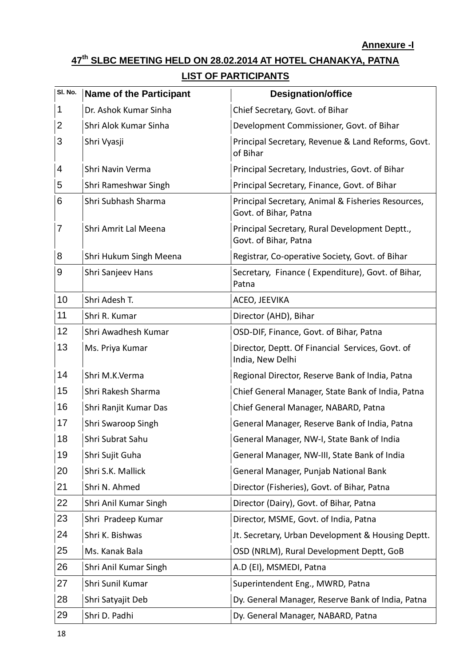#### **Annexure -I**

# **th SLBC MEETING HELD ON 28.02.2014 AT HOTEL CHANAKYA, PATNA**

## **LIST OF PARTICIPANTS**

| SI. No. | <b>Name of the Participant</b> | <b>Designation/office</b>                                                   |
|---------|--------------------------------|-----------------------------------------------------------------------------|
| 1       | Dr. Ashok Kumar Sinha          | Chief Secretary, Govt. of Bihar                                             |
| 2       | Shri Alok Kumar Sinha          | Development Commissioner, Govt. of Bihar                                    |
| 3       | Shri Vyasji                    | Principal Secretary, Revenue & Land Reforms, Govt.<br>of Bihar              |
| 4       | Shri Navin Verma               | Principal Secretary, Industries, Govt. of Bihar                             |
| 5       | Shri Rameshwar Singh           | Principal Secretary, Finance, Govt. of Bihar                                |
| 6       | Shri Subhash Sharma            | Principal Secretary, Animal & Fisheries Resources,<br>Govt. of Bihar, Patna |
| 7       | Shri Amrit Lal Meena           | Principal Secretary, Rural Development Deptt.,<br>Govt. of Bihar, Patna     |
| 8       | Shri Hukum Singh Meena         | Registrar, Co-operative Society, Govt. of Bihar                             |
| 9       | Shri Sanjeev Hans              | Secretary, Finance (Expenditure), Govt. of Bihar,<br>Patna                  |
| 10      | Shri Adesh T.                  | ACEO, JEEVIKA                                                               |
| 11      | Shri R. Kumar                  | Director (AHD), Bihar                                                       |
| 12      | Shri Awadhesh Kumar            | OSD-DIF, Finance, Govt. of Bihar, Patna                                     |
| 13      | Ms. Priya Kumar                | Director, Deptt. Of Financial Services, Govt. of<br>India, New Delhi        |
| 14      | Shri M.K.Verma                 | Regional Director, Reserve Bank of India, Patna                             |
| 15      | Shri Rakesh Sharma             | Chief General Manager, State Bank of India, Patna                           |
| 16      | Shri Ranjit Kumar Das          | Chief General Manager, NABARD, Patna                                        |
| 17      | Shri Swaroop Singh             | General Manager, Reserve Bank of India, Patna                               |
| 18      | Shri Subrat Sahu               | General Manager, NW-I, State Bank of India                                  |
| 19      | Shri Sujit Guha                | General Manager, NW-III, State Bank of India                                |
| 20      | Shri S.K. Mallick              | General Manager, Punjab National Bank                                       |
| 21      | Shri N. Ahmed                  | Director (Fisheries), Govt. of Bihar, Patna                                 |
| 22      | Shri Anil Kumar Singh          | Director (Dairy), Govt. of Bihar, Patna                                     |
| 23      | Shri Pradeep Kumar             | Director, MSME, Govt. of India, Patna                                       |
| 24      | Shri K. Bishwas                | Jt. Secretary, Urban Development & Housing Deptt.                           |
| 25      | Ms. Kanak Bala                 | OSD (NRLM), Rural Development Deptt, GoB                                    |
| 26      | Shri Anil Kumar Singh          | A.D (EI), MSMEDI, Patna                                                     |
| 27      | Shri Sunil Kumar               | Superintendent Eng., MWRD, Patna                                            |
| 28      | Shri Satyajit Deb              | Dy. General Manager, Reserve Bank of India, Patna                           |
| 29      | Shri D. Padhi                  | Dy. General Manager, NABARD, Patna                                          |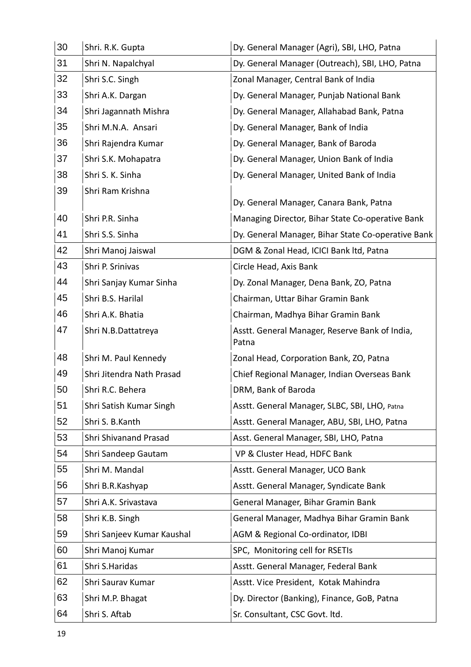| 30 | Shri. R.K. Gupta           | Dy. General Manager (Agri), SBI, LHO, Patna             |
|----|----------------------------|---------------------------------------------------------|
| 31 | Shri N. Napalchyal         | Dy. General Manager (Outreach), SBI, LHO, Patna         |
| 32 | Shri S.C. Singh            | Zonal Manager, Central Bank of India                    |
| 33 | Shri A.K. Dargan           | Dy. General Manager, Punjab National Bank               |
| 34 | Shri Jagannath Mishra      | Dy. General Manager, Allahabad Bank, Patna              |
| 35 | Shri M.N.A. Ansari         | Dy. General Manager, Bank of India                      |
| 36 | Shri Rajendra Kumar        | Dy. General Manager, Bank of Baroda                     |
| 37 | Shri S.K. Mohapatra        | Dy. General Manager, Union Bank of India                |
| 38 | Shri S. K. Sinha           | Dy. General Manager, United Bank of India               |
| 39 | Shri Ram Krishna           |                                                         |
|    |                            | Dy. General Manager, Canara Bank, Patna                 |
| 40 | Shri P.R. Sinha            | Managing Director, Bihar State Co-operative Bank        |
| 41 | Shri S.S. Sinha            | Dy. General Manager, Bihar State Co-operative Bank      |
| 42 | Shri Manoj Jaiswal         | DGM & Zonal Head, ICICI Bank Itd, Patna                 |
| 43 | Shri P. Srinivas           | Circle Head, Axis Bank                                  |
| 44 | Shri Sanjay Kumar Sinha    | Dy. Zonal Manager, Dena Bank, ZO, Patna                 |
| 45 | Shri B.S. Harilal          | Chairman, Uttar Bihar Gramin Bank                       |
| 46 | Shri A.K. Bhatia           | Chairman, Madhya Bihar Gramin Bank                      |
| 47 | Shri N.B.Dattatreya        | Asstt. General Manager, Reserve Bank of India,<br>Patna |
| 48 | Shri M. Paul Kennedy       | Zonal Head, Corporation Bank, ZO, Patna                 |
| 49 | Shri Jitendra Nath Prasad  | Chief Regional Manager, Indian Overseas Bank            |
| 50 | Shri R.C. Behera           | DRM, Bank of Baroda                                     |
| 51 | Shri Satish Kumar Singh    | Asstt. General Manager, SLBC, SBI, LHO, Patna           |
| 52 | Shri S. B. Kanth           | Asstt. General Manager, ABU, SBI, LHO, Patna            |
| 53 | Shri Shivanand Prasad      | Asst. General Manager, SBI, LHO, Patna                  |
| 54 | Shri Sandeep Gautam        | VP & Cluster Head, HDFC Bank                            |
| 55 | Shri M. Mandal             | Asstt. General Manager, UCO Bank                        |
| 56 | Shri B.R.Kashyap           | Asstt. General Manager, Syndicate Bank                  |
| 57 | Shri A.K. Srivastava       | General Manager, Bihar Gramin Bank                      |
| 58 | Shri K.B. Singh            | General Manager, Madhya Bihar Gramin Bank               |
| 59 | Shri Sanjeev Kumar Kaushal | AGM & Regional Co-ordinator, IDBI                       |
| 60 | Shri Manoj Kumar           | SPC, Monitoring cell for RSETIs                         |
| 61 | Shri S.Haridas             | Asstt. General Manager, Federal Bank                    |
| 62 | Shri Saurav Kumar          | Asstt. Vice President, Kotak Mahindra                   |
| 63 | Shri M.P. Bhagat           | Dy. Director (Banking), Finance, GoB, Patna             |
| 64 | Shri S. Aftab              | Sr. Consultant, CSC Govt. Itd.                          |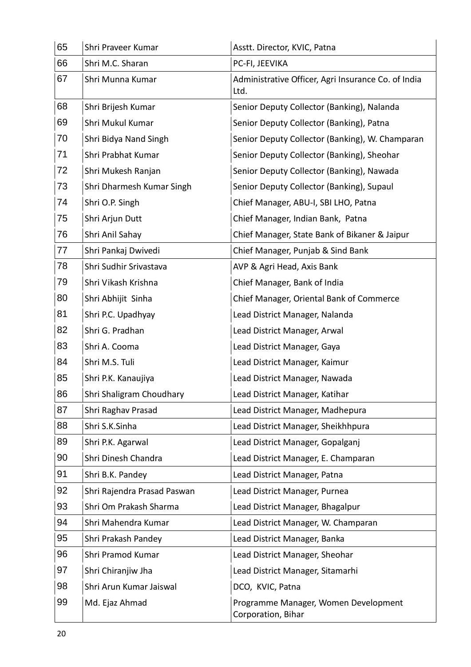| 65 | Shri Praveer Kumar          | Asstt. Director, KVIC, Patna                                |
|----|-----------------------------|-------------------------------------------------------------|
| 66 | Shri M.C. Sharan            | PC-FI, JEEVIKA                                              |
| 67 | Shri Munna Kumar            | Administrative Officer, Agri Insurance Co. of India<br>Ltd. |
| 68 | Shri Brijesh Kumar          | Senior Deputy Collector (Banking), Nalanda                  |
| 69 | Shri Mukul Kumar            | Senior Deputy Collector (Banking), Patna                    |
| 70 | Shri Bidya Nand Singh       | Senior Deputy Collector (Banking), W. Champaran             |
| 71 | Shri Prabhat Kumar          | Senior Deputy Collector (Banking), Sheohar                  |
| 72 | Shri Mukesh Ranjan          | Senior Deputy Collector (Banking), Nawada                   |
| 73 | Shri Dharmesh Kumar Singh   | Senior Deputy Collector (Banking), Supaul                   |
| 74 | Shri O.P. Singh             | Chief Manager, ABU-I, SBI LHO, Patna                        |
| 75 | Shri Arjun Dutt             | Chief Manager, Indian Bank, Patna                           |
| 76 | Shri Anil Sahay             | Chief Manager, State Bank of Bikaner & Jaipur               |
| 77 | Shri Pankaj Dwivedi         | Chief Manager, Punjab & Sind Bank                           |
| 78 | Shri Sudhir Srivastava      | AVP & Agri Head, Axis Bank                                  |
| 79 | Shri Vikash Krishna         | Chief Manager, Bank of India                                |
| 80 | Shri Abhijit Sinha          | Chief Manager, Oriental Bank of Commerce                    |
| 81 | Shri P.C. Upadhyay          | Lead District Manager, Nalanda                              |
| 82 | Shri G. Pradhan             | Lead District Manager, Arwal                                |
| 83 | Shri A. Cooma               | Lead District Manager, Gaya                                 |
| 84 | Shri M.S. Tuli              | Lead District Manager, Kaimur                               |
| 85 | Shri P.K. Kanaujiya         | Lead District Manager, Nawada                               |
| 86 | Shri Shaligram Choudhary    | Lead District Manager, Katihar                              |
| 87 | Shri Raghav Prasad          | Lead District Manager, Madhepura                            |
| 88 | Shri S.K.Sinha              | Lead District Manager, Sheikhhpura                          |
| 89 | Shri P.K. Agarwal           | Lead District Manager, Gopalganj                            |
| 90 | Shri Dinesh Chandra         | Lead District Manager, E. Champaran                         |
| 91 | Shri B.K. Pandey            | Lead District Manager, Patna                                |
| 92 | Shri Rajendra Prasad Paswan | Lead District Manager, Purnea                               |
| 93 | Shri Om Prakash Sharma      | Lead District Manager, Bhagalpur                            |
| 94 | Shri Mahendra Kumar         | Lead District Manager, W. Champaran                         |
| 95 | Shri Prakash Pandey         | Lead District Manager, Banka                                |
| 96 | Shri Pramod Kumar           | Lead District Manager, Sheohar                              |
| 97 | Shri Chiranjiw Jha          | Lead District Manager, Sitamarhi                            |
| 98 | Shri Arun Kumar Jaiswal     | DCO, KVIC, Patna                                            |
| 99 | Md. Ejaz Ahmad              | Programme Manager, Women Development<br>Corporation, Bihar  |